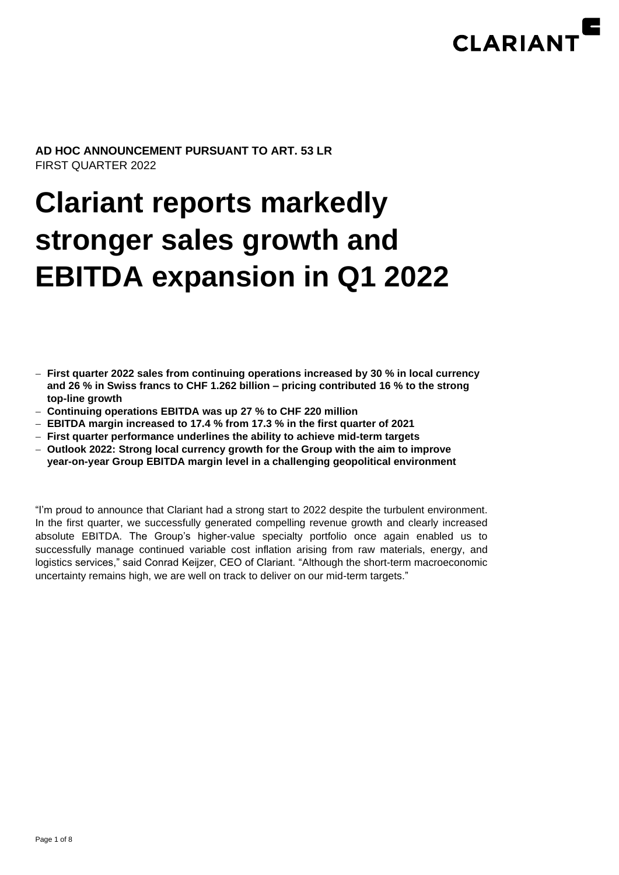

### **AD HOC ANNOUNCEMENT PURSUANT TO ART. 53 LR** FIRST QUARTER 2022

# **Clariant reports markedly stronger sales growth and EBITDA expansion in Q1 2022**

- − **First quarter 2022 sales from continuing operations increased by 30 % in local currency and 26 % in Swiss francs to CHF 1.262 billion – pricing contributed 16 % to the strong top-line growth**
- − **Continuing operations EBITDA was up 27 % to CHF 220 million**
- − **EBITDA margin increased to 17.4 % from 17.3 % in the first quarter of 2021**
- − **First quarter performance underlines the ability to achieve mid-term targets**
- − **Outlook 2022: Strong local currency growth for the Group with the aim to improve year-on-year Group EBITDA margin level in a challenging geopolitical environment**

"I'm proud to announce that Clariant had a strong start to 2022 despite the turbulent environment. In the first quarter, we successfully generated compelling revenue growth and clearly increased absolute EBITDA. The Group's higher-value specialty portfolio once again enabled us to successfully manage continued variable cost inflation arising from raw materials, energy, and logistics services," said Conrad Keijzer, CEO of Clariant. "Although the short-term macroeconomic uncertainty remains high, we are well on track to deliver on our mid-term targets."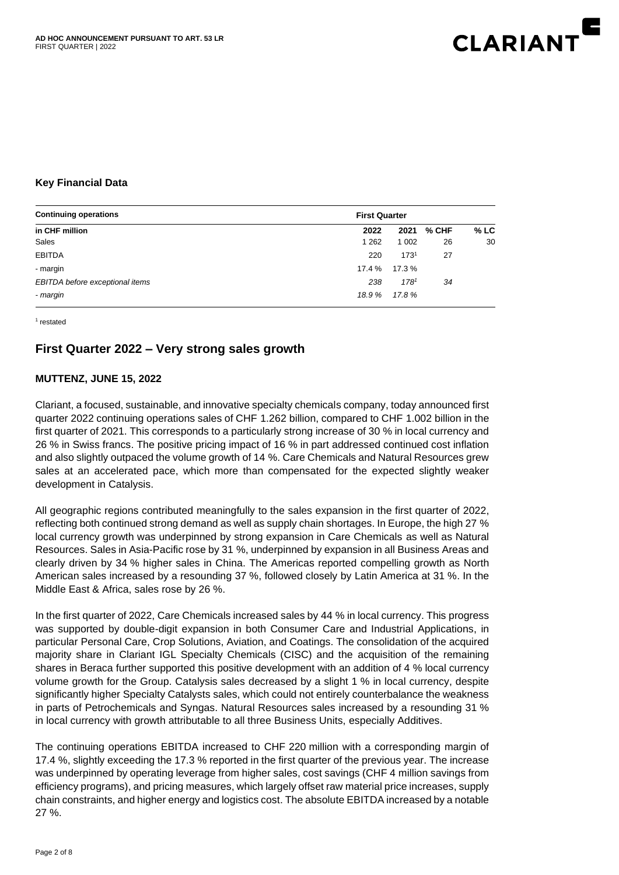

## **Key Financial Data**

| <b>Continuing operations</b>    | <b>First Quarter</b> |                  |       |        |
|---------------------------------|----------------------|------------------|-------|--------|
| in CHF million                  | 2022                 | 2021             | % CHF | $%$ LC |
| Sales                           | 1 2 6 2              | 1 0 0 2          | 26    | 30     |
| <b>EBITDA</b>                   | 220                  | 173 <sup>1</sup> | 27    |        |
| - margin                        | 17.4 %               | 17.3 %           |       |        |
| EBITDA before exceptional items | 238                  | $178^{1}$        | 34    |        |
| - margin                        | 18.9%                | 17.8%            |       |        |

1 restated

# **First Quarter 2022 – Very strong sales growth**

#### **MUTTENZ, JUNE 15, 2022**

Clariant, a focused, sustainable, and innovative specialty chemicals company, today announced first quarter 2022 continuing operations sales of CHF 1.262 billion, compared to CHF 1.002 billion in the first quarter of 2021. This corresponds to a particularly strong increase of 30 % in local currency and 26 % in Swiss francs. The positive pricing impact of 16 % in part addressed continued cost inflation and also slightly outpaced the volume growth of 14 %. Care Chemicals and Natural Resources grew sales at an accelerated pace, which more than compensated for the expected slightly weaker development in Catalysis.

All geographic regions contributed meaningfully to the sales expansion in the first quarter of 2022, reflecting both continued strong demand as well as supply chain shortages. In Europe, the high 27 % local currency growth was underpinned by strong expansion in Care Chemicals as well as Natural Resources. Sales in Asia-Pacific rose by 31 %, underpinned by expansion in all Business Areas and clearly driven by 34 % higher sales in China. The Americas reported compelling growth as North American sales increased by a resounding 37 %, followed closely by Latin America at 31 %. In the Middle East & Africa, sales rose by 26 %.

In the first quarter of 2022, Care Chemicals increased sales by 44 % in local currency. This progress was supported by double-digit expansion in both Consumer Care and Industrial Applications, in particular Personal Care, Crop Solutions, Aviation, and Coatings. The consolidation of the acquired majority share in Clariant IGL Specialty Chemicals (CISC) and the acquisition of the remaining shares in Beraca further supported this positive development with an addition of 4 % local currency volume growth for the Group. Catalysis sales decreased by a slight 1 % in local currency, despite significantly higher Specialty Catalysts sales, which could not entirely counterbalance the weakness in parts of Petrochemicals and Syngas. Natural Resources sales increased by a resounding 31 % in local currency with growth attributable to all three Business Units, especially Additives.

The continuing operations EBITDA increased to CHF 220 million with a corresponding margin of 17.4 %, slightly exceeding the 17.3 % reported in the first quarter of the previous year. The increase was underpinned by operating leverage from higher sales, cost savings (CHF 4 million savings from efficiency programs), and pricing measures, which largely offset raw material price increases, supply chain constraints, and higher energy and logistics cost. The absolute EBITDA increased by a notable 27 %.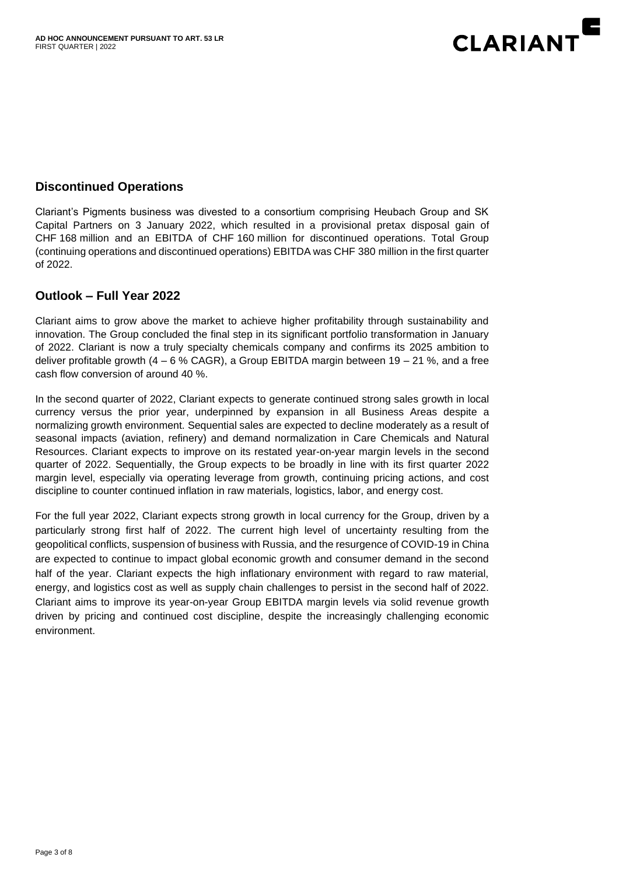

# **Discontinued Operations**

Clariant's Pigments business was divested to a consortium comprising Heubach Group and SK Capital Partners on 3 January 2022, which resulted in a provisional pretax disposal gain of CHF 168 million and an EBITDA of CHF 160 million for discontinued operations. Total Group (continuing operations and discontinued operations) EBITDA was CHF 380 million in the first quarter of 2022.

# **Outlook – Full Year 2022**

Clariant aims to grow above the market to achieve higher profitability through sustainability and innovation. The Group concluded the final step in its significant portfolio transformation in January of 2022. Clariant is now a truly specialty chemicals company and confirms its 2025 ambition to deliver profitable growth  $(4 - 6 %$  CAGR), a Group EBITDA margin between 19 – 21 %, and a free cash flow conversion of around 40 %.

In the second quarter of 2022, Clariant expects to generate continued strong sales growth in local currency versus the prior year, underpinned by expansion in all Business Areas despite a normalizing growth environment. Sequential sales are expected to decline moderately as a result of seasonal impacts (aviation, refinery) and demand normalization in Care Chemicals and Natural Resources. Clariant expects to improve on its restated year-on-year margin levels in the second quarter of 2022. Sequentially, the Group expects to be broadly in line with its first quarter 2022 margin level, especially via operating leverage from growth, continuing pricing actions, and cost discipline to counter continued inflation in raw materials, logistics, labor, and energy cost.

For the full year 2022, Clariant expects strong growth in local currency for the Group, driven by a particularly strong first half of 2022. The current high level of uncertainty resulting from the geopolitical conflicts, suspension of business with Russia, and the resurgence of COVID-19 in China are expected to continue to impact global economic growth and consumer demand in the second half of the year. Clariant expects the high inflationary environment with regard to raw material, energy, and logistics cost as well as supply chain challenges to persist in the second half of 2022. Clariant aims to improve its year-on-year Group EBITDA margin levels via solid revenue growth driven by pricing and continued cost discipline, despite the increasingly challenging economic environment.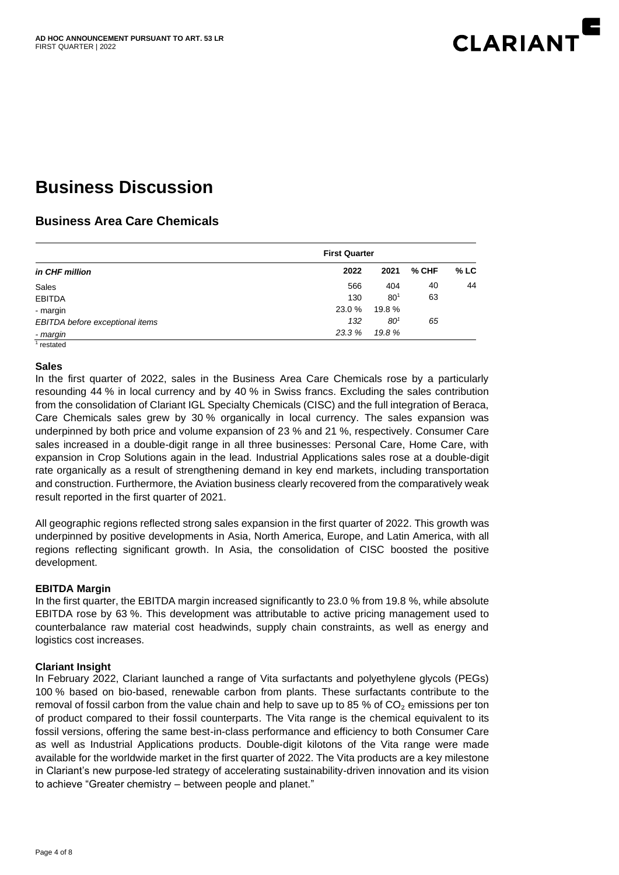

# **Business Discussion**

# **Business Area Care Chemicals**

| in CHF million                                       | <b>First Quarter</b> |                 |       |        |
|------------------------------------------------------|----------------------|-----------------|-------|--------|
|                                                      | 2022                 | 2021            | % CHF | $%$ LC |
| Sales                                                | 566                  | 404             | 40    | 44     |
| <b>EBITDA</b>                                        | 130                  | $80^{1}$        | 63    |        |
| - margin                                             | 23.0 %               | 19.8%           |       |        |
| EBITDA before exceptional items                      | 132                  | 80 <sup>1</sup> | 65    |        |
| - margin<br>$\mathcal{A}$ . The set of $\mathcal{A}$ | 23.3 %               | 19.8%           |       |        |

1 restated

#### **Sales**

In the first quarter of 2022, sales in the Business Area Care Chemicals rose by a particularly resounding 44 % in local currency and by 40 % in Swiss francs. Excluding the sales contribution from the consolidation of Clariant IGL Specialty Chemicals (CISC) and the full integration of Beraca, Care Chemicals sales grew by 30 % organically in local currency. The sales expansion was underpinned by both price and volume expansion of 23 % and 21 %, respectively. Consumer Care sales increased in a double-digit range in all three businesses: Personal Care, Home Care, with expansion in Crop Solutions again in the lead. Industrial Applications sales rose at a double-digit rate organically as a result of strengthening demand in key end markets, including transportation and construction. Furthermore, the Aviation business clearly recovered from the comparatively weak result reported in the first quarter of 2021.

All geographic regions reflected strong sales expansion in the first quarter of 2022. This growth was underpinned by positive developments in Asia, North America, Europe, and Latin America, with all regions reflecting significant growth. In Asia, the consolidation of CISC boosted the positive development.

#### **EBITDA Margin**

In the first quarter, the EBITDA margin increased significantly to 23.0 % from 19.8 %, while absolute EBITDA rose by 63 %. This development was attributable to active pricing management used to counterbalance raw material cost headwinds, supply chain constraints, as well as energy and logistics cost increases.

#### **Clariant Insight**

In February 2022, Clariant launched a range of Vita surfactants and polyethylene glycols (PEGs) 100 % based on bio-based, renewable carbon from plants. These surfactants contribute to the removal of fossil carbon from the value chain and help to save up to 85 % of  $CO<sub>2</sub>$  emissions per ton of product compared to their fossil counterparts. The Vita range is the chemical equivalent to its fossil versions, offering the same best-in-class performance and efficiency to both Consumer Care as well as Industrial Applications products. Double-digit kilotons of the Vita range were made available for the worldwide market in the first quarter of 2022. The Vita products are a key milestone in Clariant's new purpose-led strategy of accelerating sustainability-driven innovation and its vision to achieve "Greater chemistry – between people and planet."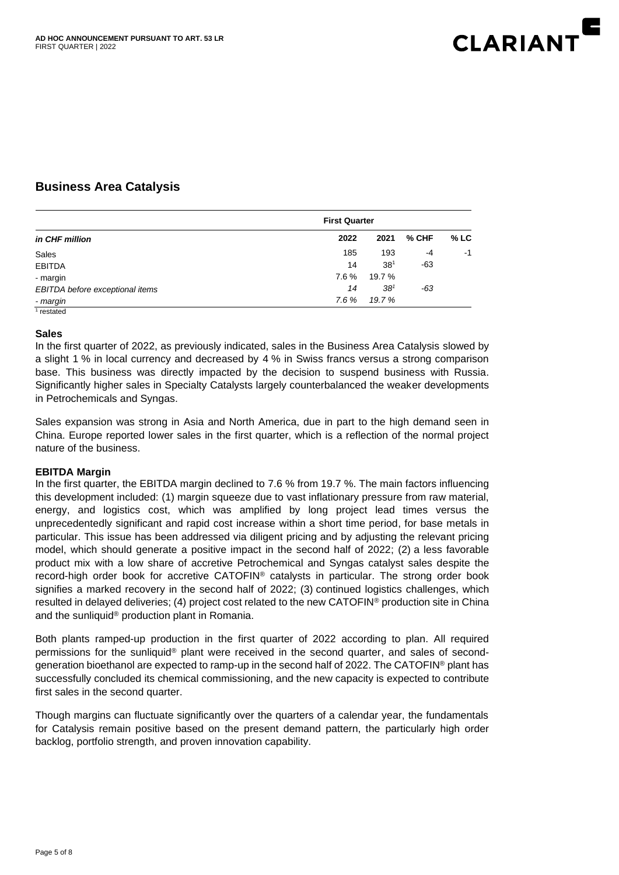

# **Business Area Catalysis**

| in CHF million                  |      | <b>First Quarter</b> |       |        |
|---------------------------------|------|----------------------|-------|--------|
|                                 | 2022 | 2021                 | % CHF | $%$ LC |
| Sales                           | 185  | 193                  | $-4$  | $-1$   |
| <b>EBITDA</b>                   | 14   | 38 <sup>1</sup>      | $-63$ |        |
| - margin                        | 7.6% | 19.7 %               |       |        |
| EBITDA before exceptional items | 14   | 38 <sup>1</sup>      | -63   |        |
| - margin                        | 7.6% | 19.7 %               |       |        |
| restated                        |      |                      |       |        |

#### **Sales**

In the first quarter of 2022, as previously indicated, sales in the Business Area Catalysis slowed by a slight 1 % in local currency and decreased by 4 % in Swiss francs versus a strong comparison base. This business was directly impacted by the decision to suspend business with Russia. Significantly higher sales in Specialty Catalysts largely counterbalanced the weaker developments in Petrochemicals and Syngas.

Sales expansion was strong in Asia and North America, due in part to the high demand seen in China. Europe reported lower sales in the first quarter, which is a reflection of the normal project nature of the business.

#### **EBITDA Margin**

In the first quarter, the EBITDA margin declined to 7.6 % from 19.7 %. The main factors influencing this development included: (1) margin squeeze due to vast inflationary pressure from raw material, energy, and logistics cost, which was amplified by long project lead times versus the unprecedentedly significant and rapid cost increase within a short time period, for base metals in particular. This issue has been addressed via diligent pricing and by adjusting the relevant pricing model, which should generate a positive impact in the second half of 2022; (2) a less favorable product mix with a low share of accretive Petrochemical and Syngas catalyst sales despite the record-high order book for accretive CATOFIN® catalysts in particular. The strong order book signifies a marked recovery in the second half of 2022; (3) continued logistics challenges, which resulted in delayed deliveries; (4) project cost related to the new CATOFIN® production site in China and the sunliquid® production plant in Romania.

Both plants ramped-up production in the first quarter of 2022 according to plan. All required permissions for the sunliquid® plant were received in the second quarter, and sales of secondgeneration bioethanol are expected to ramp-up in the second half of 2022. The CATOFIN® plant has successfully concluded its chemical commissioning, and the new capacity is expected to contribute first sales in the second quarter.

Though margins can fluctuate significantly over the quarters of a calendar year, the fundamentals for Catalysis remain positive based on the present demand pattern, the particularly high order backlog, portfolio strength, and proven innovation capability.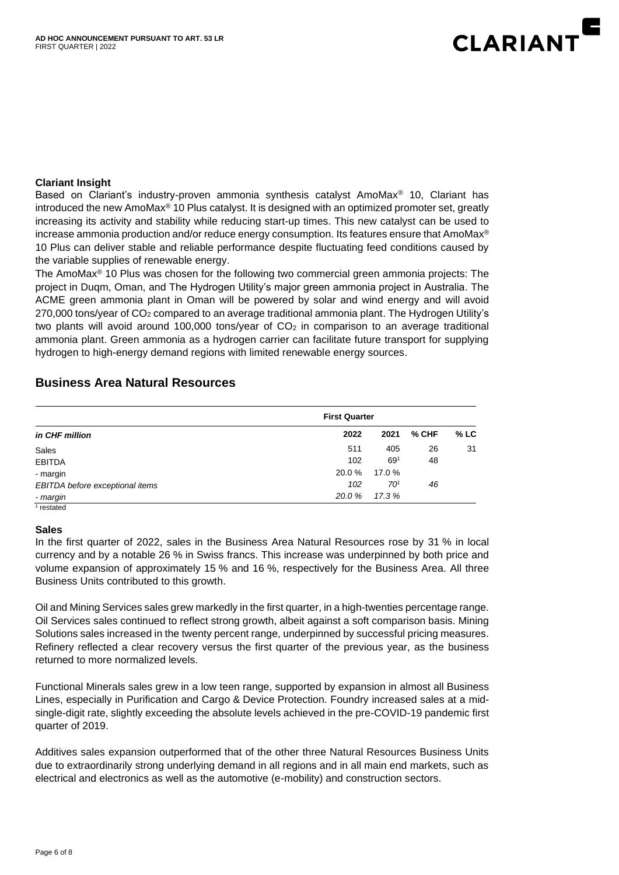

#### **Clariant Insight**

Based on Clariant's industry-proven ammonia synthesis catalyst AmoMax® 10, Clariant has introduced the new AmoMax® 10 Plus catalyst. It is designed with an optimized promoter set, greatly increasing its activity and stability while reducing start-up times. This new catalyst can be used to increase ammonia production and/or reduce energy consumption. Its features ensure that AmoMax® 10 Plus can deliver stable and reliable performance despite fluctuating feed conditions caused by the variable supplies of renewable energy.

The AmoMax<sup>®</sup> 10 Plus was chosen for the following two commercial green ammonia projects: The project in Duqm, Oman, and The Hydrogen Utility's major green ammonia project in Australia. The ACME green ammonia plant in Oman will be powered by solar and wind energy and will avoid 270,000 tons/year of  $CO<sub>2</sub>$  compared to an average traditional ammonia plant. The Hydrogen Utility's two plants will avoid around 100,000 tons/year of  $CO<sub>2</sub>$  in comparison to an average traditional ammonia plant. Green ammonia as a hydrogen carrier can facilitate future transport for supplying hydrogen to high-energy demand regions with limited renewable energy sources.

#### **Business Area Natural Resources**

| in CHF million                  |        | <b>First Quarter</b> |         |        |
|---------------------------------|--------|----------------------|---------|--------|
|                                 | 2022   | 2021                 | $%$ CHF | $%$ LC |
| Sales                           | 511    | 405                  | 26      | 31     |
| <b>EBITDA</b>                   | 102    | 69 <sup>1</sup>      | 48      |        |
| - margin                        | 20.0 % | 17.0 %               |         |        |
| EBITDA before exceptional items | 102    | 70 <sup>1</sup>      | 46      |        |
| - margin                        | 20.0 % | 17.3 %               |         |        |
| restated                        |        |                      |         |        |

#### **Sales**

In the first quarter of 2022, sales in the Business Area Natural Resources rose by 31 % in local currency and by a notable 26 % in Swiss francs. This increase was underpinned by both price and volume expansion of approximately 15 % and 16 %, respectively for the Business Area. All three Business Units contributed to this growth.

Oil and Mining Services sales grew markedly in the first quarter, in a high-twenties percentage range. Oil Services sales continued to reflect strong growth, albeit against a soft comparison basis. Mining Solutions sales increased in the twenty percent range, underpinned by successful pricing measures. Refinery reflected a clear recovery versus the first quarter of the previous year, as the business returned to more normalized levels.

Functional Minerals sales grew in a low teen range, supported by expansion in almost all Business Lines, especially in Purification and Cargo & Device Protection. Foundry increased sales at a midsingle-digit rate, slightly exceeding the absolute levels achieved in the pre-COVID-19 pandemic first quarter of 2019.

Additives sales expansion outperformed that of the other three Natural Resources Business Units due to extraordinarily strong underlying demand in all regions and in all main end markets, such as electrical and electronics as well as the automotive (e-mobility) and construction sectors.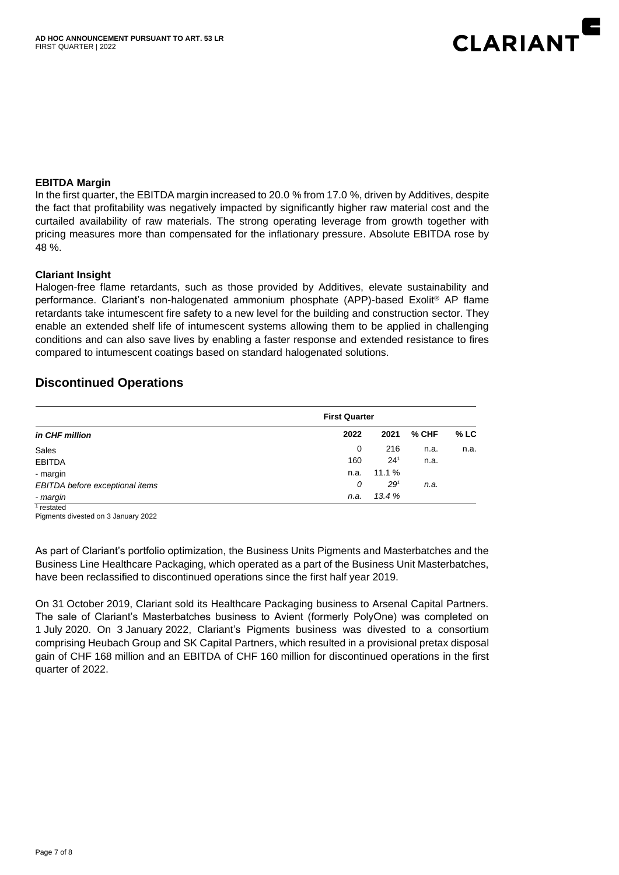

#### **EBITDA Margin**

In the first quarter, the EBITDA margin increased to 20.0 % from 17.0 %, driven by Additives, despite the fact that profitability was negatively impacted by significantly higher raw material cost and the curtailed availability of raw materials. The strong operating leverage from growth together with pricing measures more than compensated for the inflationary pressure. Absolute EBITDA rose by 48 %.

#### **Clariant Insight**

Halogen-free flame retardants, such as those provided by Additives, elevate sustainability and performance. Clariant's non-halogenated ammonium phosphate (APP)-based Exolit® AP flame retardants take intumescent fire safety to a new level for the building and construction sector. They enable an extended shelf life of intumescent systems allowing them to be applied in challenging conditions and can also save lives by enabling a faster response and extended resistance to fires compared to intumescent coatings based on standard halogenated solutions.

# **Discontinued Operations**

|                                 |      | <b>First Quarter</b> |       |        |
|---------------------------------|------|----------------------|-------|--------|
| in CHF million                  | 2022 | 2021                 | % CHF | $%$ LC |
| Sales                           | 0    | 216                  | n.a.  | n.a.   |
| <b>EBITDA</b>                   | 160  | $24^{1}$             | n.a.  |        |
| - margin                        | n.a. | 11.1%                |       |        |
| EBITDA before exceptional items | 0    | $29^{1}$             | n.a.  |        |
| - margin                        | n.a. | 13.4%                |       |        |

1 restated

Pigments divested on 3 January 2022

As part of Clariant's portfolio optimization, the Business Units Pigments and Masterbatches and the Business Line Healthcare Packaging, which operated as a part of the Business Unit Masterbatches, have been reclassified to discontinued operations since the first half year 2019.

On 31 October 2019, Clariant sold its Healthcare Packaging business to Arsenal Capital Partners. The sale of Clariant's Masterbatches business to Avient (formerly PolyOne) was completed on 1 July 2020. On 3 January 2022, Clariant's Pigments business was divested to a consortium comprising Heubach Group and SK Capital Partners, which resulted in a provisional pretax disposal gain of CHF 168 million and an EBITDA of CHF 160 million for discontinued operations in the first quarter of 2022.